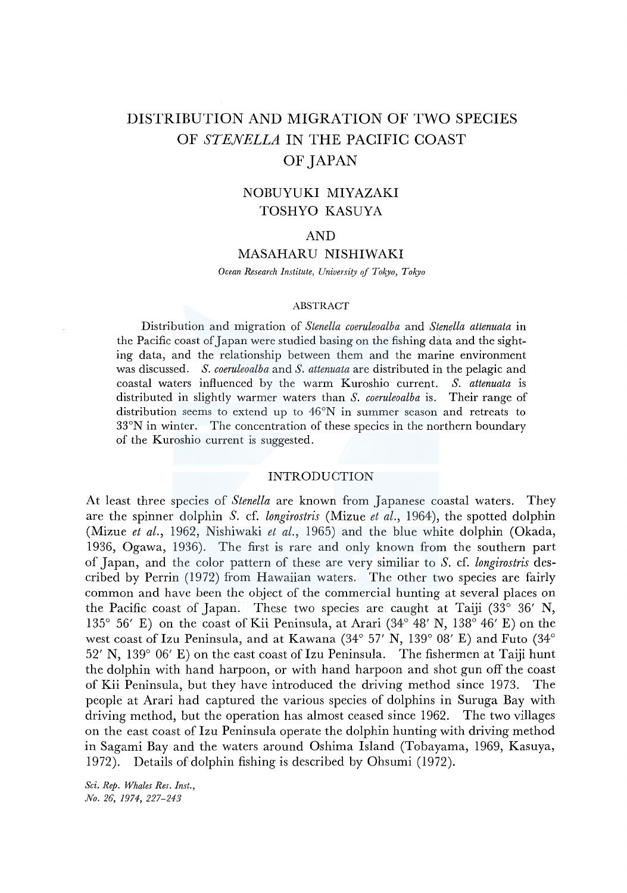# DISTRIBUTION AND MIGRATION OF TWO SPECIES OF *STENELLA* IN THE PACIFIC COAST OF JAPAN

## NOBUYUKI MIYAZAKI TOSHYO KASUYA

## AND

## MASAHARU NISHIWAKI

*Ocean Research Institute, University of Tokyo, Tokyo* 

#### ABSTRACT

Distribution and migration of *Stenella coeruleoalba* and *Stenella attenuata* in the Pacific coast of Japan were studied basing on the fishing data and the sighting data, and the relationship between them and the marine environment was discussed. *S. coeruleoalba* and *S. attenuata* are distributed in the pelagic and coastal waters influenced by the warm Kuroshio current. *S. attenuata* is distributed in slightly warmer waters than *S. coeruleoalba* is. Their range of distribution seems to extend up to 46°N in summer season and retreats to 33°N in winter. The concentration of these species in the northern boundary of the Kuroshio current is suggested.

## INTRODUCTION

At least three species of *Stenella* are known from Japanese coastal waters. They are the spinner dolphin *S.* cf. *longirostris* (Mizue *et al.,* 1964), the spotted dolphin (Mizue *et al.,* 1962, Nishiwaki *et al.,* 1965) and the blue white dolphin (Okada, 1936, Ogawa, 1936). The first is rare and only known from the southern part of Japan, and the color pattern of these are very similiar to *S.* cf. *longirostris* described by Perrin (1972) from Hawaiian waters. The other two species are fairly common and have been the object of the commercial hunting at several places on the Pacific coast of Japan. These two species are caught at Taiji (33° 36' N, 135° 56' E) on the coast of Kii Peninsula, at Arari (34° 48' N, 138° 46' E) on the west coast of Izu Peninsula, and at Kawana (34° 57' N, 139° 08' E) and Futo (34° 52' N, 139° 06' E) on the east coast of Izu Peninsula. The fishermen at Taiji hunt the dolphin with hand harpoon, or with hand harpoon and shot gun off the coast of Kii Peninsula, but they have introduced the driving method since 1973. The people at Arari had captured the various species of dolphins in Suruga Bay with driving method, but the operation has almost ceased since 1962. The two villages on the east coast of Izu Peninsula operate the dolphin hunting with driving method in Sagami Bay and the waters around Oshima Island (Tobayama, 1969, Kasuya, 1972). Details of dolphin fishing is described by Ohsumi (1972).

*Sci. Rep. Whales Res. Inst., No. 26, 1974, 227-243*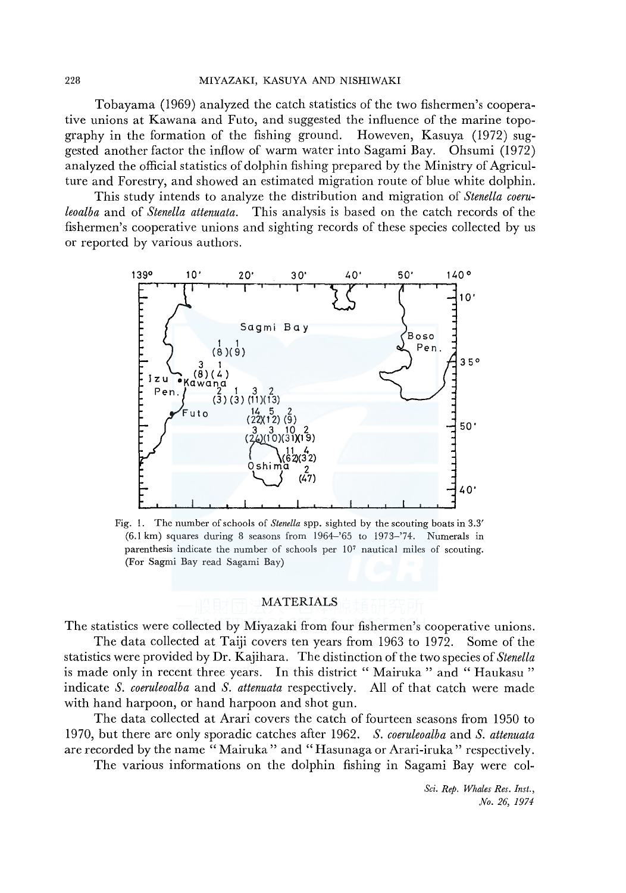Tobayama (1969) analyzed the catch statistics of the two fishermen's cooperative unions at Kawana and Futo, and suggested the influence of the marine topography in the formation of the fishing ground. Howeven, Kasuya (1972) suggested another factor the inflow of warm water into Sagami Bay. Ohsumi (1972) analyzed the official statistics of dolphin fishing prepared by the Ministry of Agriculture and Forestry, and showed an estimated migration route of blue white dolphin.

This study intends to analyze the distribution and migration of *Stenella coeruleoalba* and of *Stenella attenuata.* This analysis is based on the catch records of the fishermen's cooperative unions and sighting records of these species collected by us or reported by various authors.



Fig. I. The number of schools of *Stenella* spp. sighted by the scouting boats in 3.3' (6.1 km) squares during 8 seasons from 1964-'65 to 1973-'74. Numerals in parenthesis indicate the number of schools per 107 nautical miles of scouting. (For Sagmi Bay read Sagami Bay)

## MATERIALS

The statistics were collected by Miyazaki from four fishermen's cooperative unions.

The data collected at Taiji covers ten years from 1963 to 1972. Some of the statistics were provided by Dr. Kajihara. The distinction of the two species of *Stenella*  is made only in recent three years. In this district "Mairuka" and "Haukasu" indicate *S. coeruleoalba* and *S. attenuata* respectively. All of that catch were made with hand harpoon, or hand harpoon and shot gun.

The data collected at Arari covers the catch of fourteen seasons from 1950 to 1970, but there are only sporadic catches after 1962. *S. coeruleoalba* and *S. attenuata*  are recorded by the name "Mairuka" and "Hasunaga or Arari-iruka" respectively.

The various informations on the dolphin fishing in Sagami Bay were col-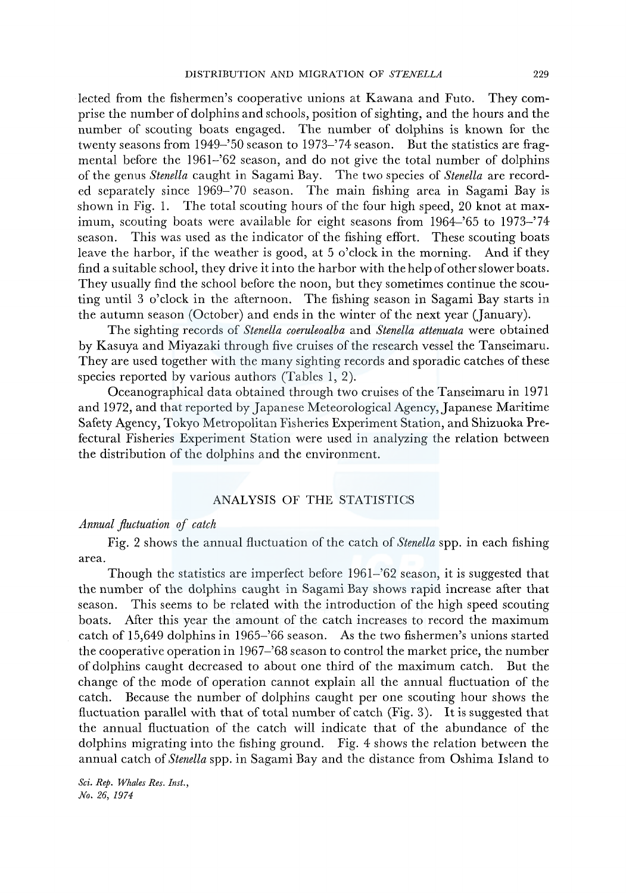lected from the fishermen's cooperative unions at Kawana and Futo. They comprise the number of dolphins and schools, position of sighting, and the hours and the number of scouting boats engaged. The number of dolphins is known for the twenty seasons from 1949-'50 season to 1973-'74 season. But the statistics are fragmental before the 1961-'62 season, and do not give the total number of dolphins of the genus *Stenella* caught in Sagami Bay. The two species of *Stenella* are recorded separately since 1969-'70 season. The main fishing area in Sagami Bay is shown in Fig. 1. The total scouting hours of the four high speed, 20 knot at maximum, scouting boats were available for eight seasons from 1964-'65 to 1973-'74 season. This was used as the indicator of the fishing effort. These scouting boats leave the harbor, if the weather is good, at 5 o'clock in the morning. And if they find a suitable school, they drive it into the harbor with the help of other slower boats. They usually find the school before the noon, but they sometimes continue the scouting until 3 o'clock in the afternoon. The fishing season in Sagami Bay starts in the autumn season (October) and ends in the winter of the next year (January).

The sighting records of *Stenella coeruleoalba* and *Stenella attenuata* were obtained by Kasuya and Miyazaki through five cruises of the research vessel the Tanseimaru. They are used together with the many sighting records and sporadic catches of these species reported by various authors (Tables 1, 2).

Oceanographical data obtained through two cruises of the Tanseimaru in 1971 and 1972, and that reported by Japanese Meteorological Agency, Japanese Maritime Safety Agency, Tokyo Metropolitan Fisheries Experiment Station, and Shizuoka Prefectural Fisheries Experiment Station were used in analyzing the relation between the distribution of the dolphins and the environment.

## ANALYSIS OF THE STATISTICS

## *Annual .fluctuation of catch*

Fig. 2 shows the annual fluctuation of the catch of *Stenella* spp. in each fishing area.

Though the statistics are imperfect before 1961-'62 season, it is suggested that the number of the dolphins caught in Sagami Bay shows rapid increase after that season. This seems to be related with the introduction of the high speed scouting boats. After this year the amount of the catch increases to record the maximum catch of 15,649 dolphins in 1965-'66 season. As the two fishermen's unions started the cooperative operation in 1967-'68 season to control the market price, the number of dolphins caught decreased to about one third of the maximum catch. But the change of the mode of operation cannot explain all the annual fluctuation of the catch. Because the number of dolphins caught per one scouting hour shows the fluctuation parallel with that of total number of catch (Fig. 3). It is suggested that the annual fluctuation of the catch will indicate that of the abundance of the dolphins migrating into the fishing ground. Fig. 4 shows the relation betwem the annual catch of *Stenella* spp. in Sagami Bay and the distance from Oshima Island to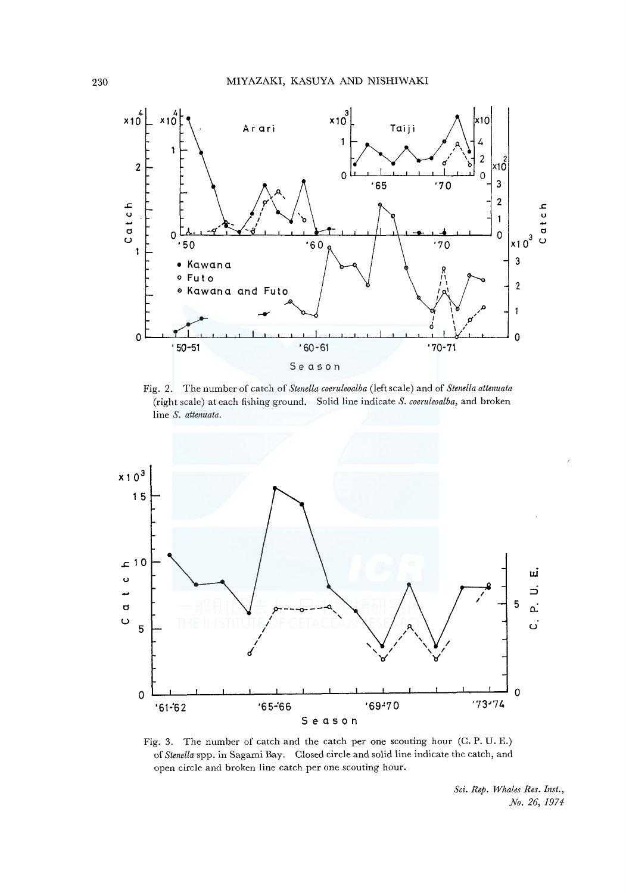

Fig. 2. The number of catch of *Stenella coeruleoalba* (left scale) and of *Stenella attenuata*  (right scale) at each fishing ground. Solid line indicate *S. coeruleoalba,* and broken line *S. attenuata.* 



Fig. 3. The number of catch and the catch per one scouting hour (C. P. U. E.) of *Stene/la* spp. in Sagami Bay. Closed circle and solid line indicate the catch, and open circle and broken line catch per one scouting hour.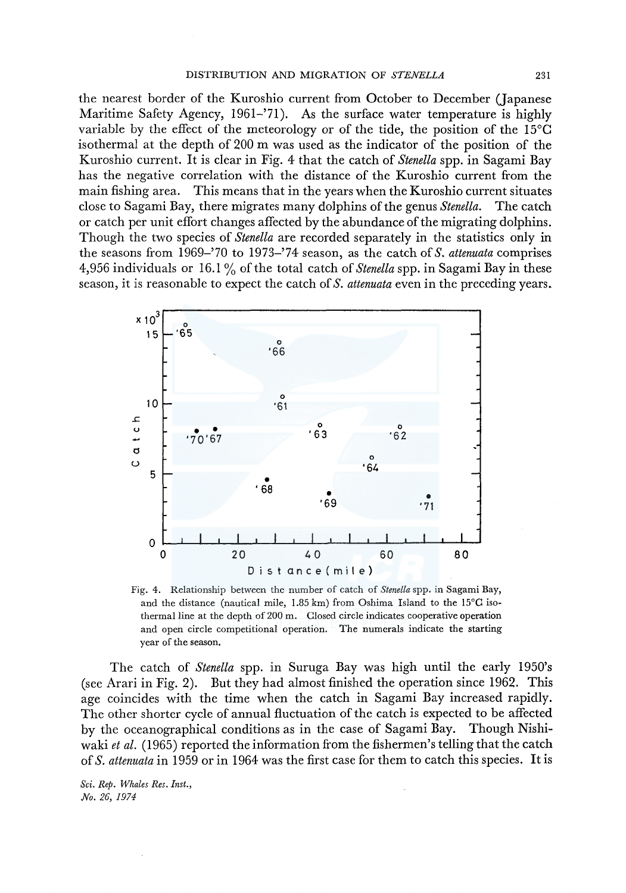the nearest border of the Kuroshio current from October to December (Japanese Maritime Safety Agency, 1961-'71). As the surface water temperature is highly variable by the effect of the meteorology or of the tide, the position of the l5°C isothermal at the depth of 200 m was used as the indicator of the position of the Kuroshio current. It is clear in Fig. 4 that the catch of *Stenella* spp. in Sagami Bay has the negative correlation with the distance of the Kuroshio current from the main fishing area. This means that in the years when the Kuroshio current situates close to Sagami Bay, there migrates many dolphins of the genus *Stenella.* The catch or catch per unit effort changes affected by the abundance of the migrating dolphins. Though the two species of *Stenella* are recorded separately in the statistics only in the seasons from 1969-'70 to 1973-'74 season, as the catch of *S. attenuata* comprises 4,956 individuals or 16. l % of the total catch of *Stenella* spp. in Sagami Bay in these season, it is reasonable to expect the catch of *S. attenuata* even in the preceding years.



Fig. 4. Relationship between the number of catch of *Stenella* spp. in Sagami Bay, and the distance (nautical mile,  $1.85 \text{ km}$ ) from Oshima Island to the  $15^{\circ}$ C isothermal line at the depth of 200 m. Closed circle indicates cooperative operation and open circle competitional operation. The numerals indicate the starting year of the season.

The catch of *Stenella* spp. in Suruga Bay was high until the early 1950's (see Arari in Fig. 2). But they had almost finished the operation since 1962. This age coincides with the time when the catch in Sagami Bay increased rapidly. The other shorter cycle of annual fluctuation of the catch is expected to be affected by the oceanographical conditions as in the case of Sagami Bay. Though Nishiwaki *et al.* (1965) reported the information from the fishermen's telling that the catch of *S. attenuata* in 1959 or in 1964 was the first case for them to catch this species. It is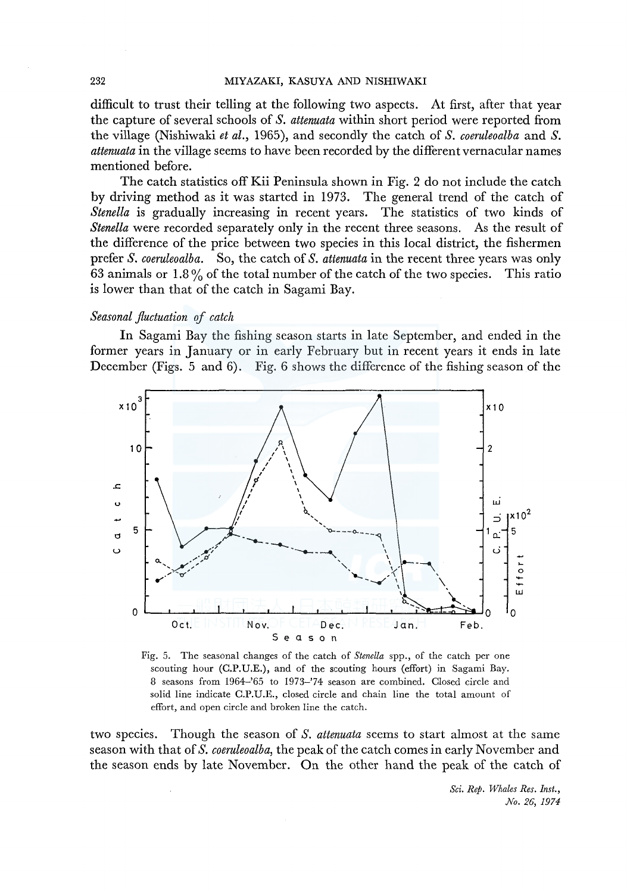#### 232 MIYAZAKI, KASUYA AND NISHIWAKI

difficult to trust their telling at the following two aspects. At first, after that year the capture of several schools of *S. attenuata* within short period were reported from the village (Nishiwaki *et al.,* 1965), and secondly the catch of *S. coeruleoalba* and *S. attenuata* in the village seems to have been recorded by the different vernacular names mentioned before.

The catch statistics off Kii Peninsula shown in Fig. 2 do not include the catch by driving method as it was started in 1973. The general trend of the catch of *Stenella* is gradually increasing in recent years. The statistics of two kinds of *Stenella* were recorded separately only in the recent three seasons. As the result of the difference of the price between two species in this local district, the fishermen prefer *S. coeruleoalba.* So, the catch of *S. attenuata* in the recent three years was only 63 animals or 1.8 % of the total number of the catch of the two species. This ratio is lower than that of the catch in Sagami Bay.

### *Seasonal fluctuation* of *catch*

In Sagami Bay the fishing season starts in late September, and ended in the former years in January or in early February but in recent years it ends in late December (Figs. 5 and 6). Fig. 6 shows the difference of the fishing season of the



Fig. 5. The seasonal changes of the catch of *Stenella* spp., of the catch per one scouting hour (C.P.U.E.), and of the scouting hours (effort) in Sagami Bay. 8 seasons from 1964-'65 to 1973-'74 season are combined. Closed circle and solid line indicate C.P.U.E., closed circle and chain line the total amount of effort, and open circle and broken line the catch.

two species. Though the season of *S. attenuata* seems to start almost at the same season with that of *S. coeruleoalba,* the peak of the catch comes in early November and the season ends by late November. On the other hand the peak of the catch of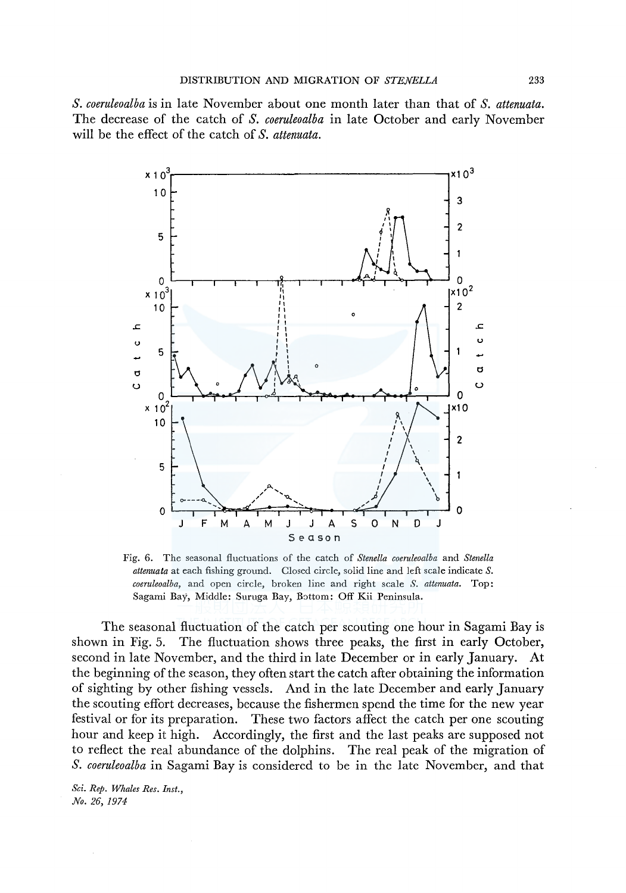*S. coeruleoalba* is in late November about one month later than that of *S. attenuata.*  The decrease of the catch of *S. coeruleoalba* in late October and early November will be the effect of the catch of *S. attenuata.* 



Fig. 6. The seasonal fluctuations of the catch of *Stenella coeruleoalba* and *Stenella attenuata* at each fishing ground. Closed circle, solid line and left scale indicate *S. coeruleoalba,* and open circle, broken line and right scale *S. attenuata.* Top: Sagami Bay, Middle: Suruga Bay, Bottom: Off Kii Peninsula.

The seasonal fluctuation of the catch per scouting one hour in Sagami Bay is shown in Fig. 5. The fluctuation shows three peaks, the first in early October, second in late November, and the third in late December or in early January. At the beginning of the season, they often start the catch after obtaining the information of sighting by other fishing vessels. And in the late December and early January the scouting effort decreases, because the fishermen spend the time for the new year festival or for its preparation. These two factors affect the catch per one scouting hour and keep it high. Accordingly, the first and the last peaks are supposed not to reflect the real abundance of the dolphins. The real peak of the migration of *S. coeruleoalba* in Sagami Bay is considered to be in the late November, and that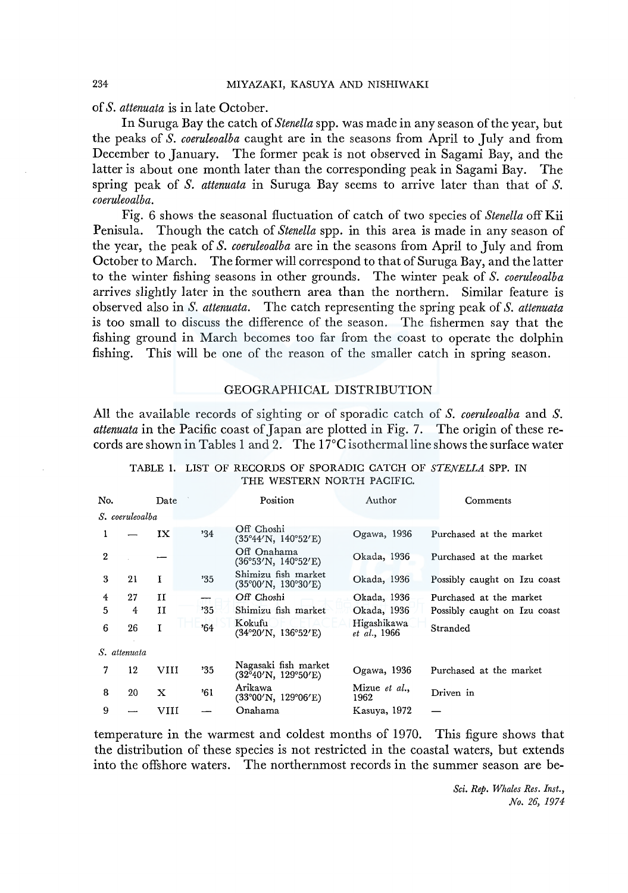of *S. attenuata* is in late October.

In Suruga Bay the catch of *Stenella* spp. was made in any season of the year, but the peaks of *S. coeruleoalba* caught are in the seasons from April to July and from December to January. The former peak is not observed in Sagami Bay, and the latter is about one month later than the corresponding peak in Sagami Bay. The spring peak of *S. attenuata* in Suruga Bay seems to arrive later than that of *S. coeruleoalba.* 

Fig. 6 shows the seasonal fluctuation of catch of two species of *Stenella* off Kii Penisula. Though the catch of *Stenella* spp. in this area is made in any season of the year, the peak of *S. coeruleoalba* are in the seasons from April to July and from October to March. The former will correspond to that of Suruga Bay, and the latter to the winter fishing seasons in other grounds. The winter peak of *S. coeruleoalba*  arrives slightly later in the southern area than the northern. Similar feature is observed also in *S. attenuata.* The catch representing the spring peak of *S. attenuata*  is too small to discuss the difference of the season. The fishermen say that the fishing ground in March becomes too far from the coast to operate the dolphin fishing. This will be one of the reason of the smaller catch in spring season.

## GEOGRAPHICAL DISTRIBUTION

All the available records of sighting or of sporadic catch of *S. coeruleoalba* and *S. attenuata* in the Pacific coast of Japan are plotted in Fig. 7. The origin of these records are shown in Tables 1 and 2. The  $17^{\circ}$ C isothermal line shows the surface water

| No.          |                 | Date                      |     | Position                                                                   | Author                      | Comments                     |
|--------------|-----------------|---------------------------|-----|----------------------------------------------------------------------------|-----------------------------|------------------------------|
|              | S. coeruleoalba |                           |     |                                                                            |                             |                              |
|              |                 | IX                        | '34 | Off Choshi<br>$(35^{\circ}44'$ N, $140^{\circ}52'$ E)                      | Ogawa, 1936                 | Purchased at the market      |
| $\mathbf{2}$ |                 |                           |     | Off Onahama<br>(36°53'N, 140°52'E)                                         | Okada, 1936                 | Purchased at the market      |
| 3            | 21              | I                         | '35 | Shimizu fish market<br>$(35^{\circ}00^{\prime}N, 130^{\circ}30^{\prime}E)$ | Okada, 1936                 | Possibly caught on Izu coast |
| 4            | 27              | Ħ                         |     | Off Choshi                                                                 | Okada, 1936                 | Purchased at the market      |
| 5            | 4               | 11                        | 35' | Shimizu fish market                                                        | Okada, 1936                 | Possibly caught on Izu coast |
| 6            | 26              | Т                         | '64 | Kokufu<br>$(34^{\circ}20^{\prime}N, 136^{\circ}52^{\prime}E)$              | Higashikawa<br>et al., 1966 | Stranded                     |
| S. attenuata |                 |                           |     |                                                                            |                             |                              |
| 7            | 12              | VIII                      | '35 | Nagasaki fish market<br>$(32^{\circ}40' N, 129^{\circ}50' E)$              | Ogawa, 1936                 | Purchased at the market      |
| 8            | 20              | $\boldsymbol{\mathrm{x}}$ | '61 | Arikawa<br>$(33^{\circ}00^{\prime}N, 129^{\circ}06^{\prime}E)$             | Mizue et al.,<br>1962       | Driven in                    |
| 9            |                 | VIII                      |     | Onahama                                                                    | Kasuya, 1972                |                              |
|              |                 |                           |     |                                                                            |                             |                              |

|  |  | TABLE 1. LIST OF RECORDS OF SPORADIC CATCH OF STENELLA SPP. IN |  |  |  |
|--|--|----------------------------------------------------------------|--|--|--|
|  |  | THE WESTERN NORTH PACIFIC.                                     |  |  |  |

temperature in the warmest and coldest months of 1970. This figure shows that the distribution of these species is not restricted in the coastal waters, but extends into the offshore waters. The northernmost records in the summer season are be-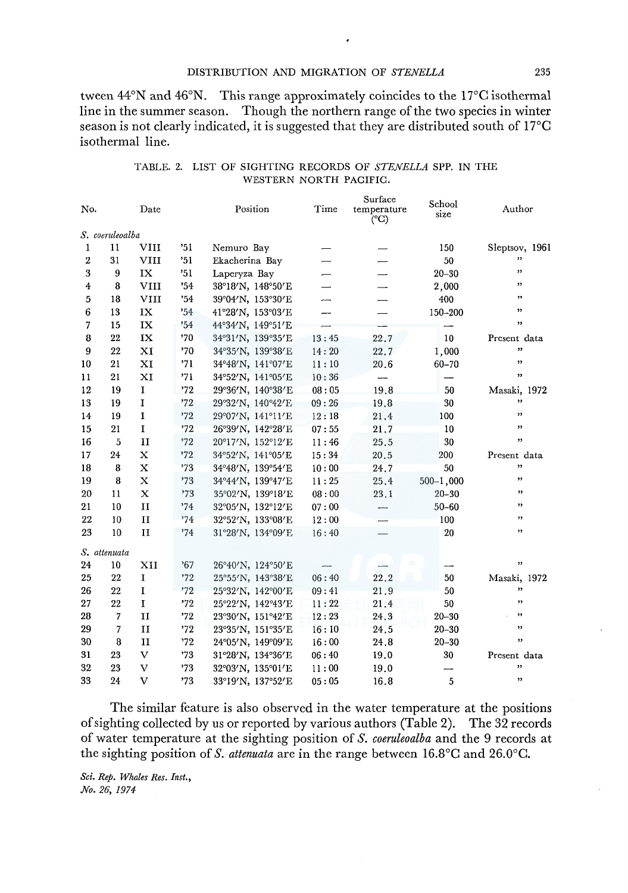#### DISTRIBUTION AND MIGRATION OF *STENELLA* 235

tween 44°N and 46°N. This range approximately coincides to the 17°0 isothermal line in the summer season. Though the northern range of the two species in winter season is not clearly indicated, it is suggested that they are distributed south of  $17^{\circ}$ C isothermal line.

| No.                     |                 | Date          |     | Position          | Time                     | Surface<br>temperature<br>$({}^{\circ}C)$ | School<br>size | Author         |
|-------------------------|-----------------|---------------|-----|-------------------|--------------------------|-------------------------------------------|----------------|----------------|
|                         | S. coeruleoalba |               |     |                   |                          |                                           |                |                |
| 1                       | 11              | VIII          | '51 | Nemuro Bay        |                          |                                           | 150            | Sleptsov, 1961 |
| $\overline{2}$          | 31              | VIII          | '51 | Ekacherina Bay    | $\overline{\phantom{0}}$ | $\overline{\phantom{0}}$                  | 50             | $, \,$         |
| 3                       | 9               | IX            | '51 | Laperyza Bay      |                          | $\overline{\phantom{0}}$                  | $20 - 30$      | , ,            |
| $\overline{\mathbf{4}}$ | 8               | <b>VIII</b>   | '54 | 38°18'N, 148°50'E |                          |                                           | 2,000          | ,,             |
| 5                       | 18              | <b>VIII</b>   | 34' | 39°04'N, 153°30'E | -                        |                                           | 400            | ,              |
| 6                       | 13              | $\mathbf{IX}$ | 34  | 41°28'N, 153°03'E | —                        |                                           | 150-200        | ,,             |
| $\overline{7}$          | 15              | IX            | 34  | 44°34'N, 149°51'E |                          |                                           |                | ,,             |
| 8                       | 22              | IX            | '70 | 34°31'N, 139°35'E | 13:45                    | 22.7                                      | 10             | Present data   |
| 9                       | 22              | XI            | '70 | 34°35'N, 139°38'E | 14:20                    | 22.7                                      | 1,000          | ,,             |
| 10                      | 21              | XI            | '71 | 34°48'N, 141°07'E | 11:10                    | 20.6                                      | 60-70          | ,,             |
| 11                      | 21              | XI            | '71 | 34°52'N, 141°05'E | 10:36                    | $\overline{\phantom{m}}$                  |                | , 1            |
| 12                      | 19              | $\mathbf I$   | 72  | 29°36'N, 140°38'E | 08:05                    | 19.8                                      | 50             | Masaki, 1972   |
| 13                      | 19              | I             | 72  | 29°32'N, 140°42'E | 09:26                    | 19.8                                      | 30             | ,,             |
| 14                      | 19              | $\mathbf I$   | 72  | 29°07'N, 141°11'E | 12:18                    | 21.4                                      | 100            | ,              |
| 15                      | 21              | $\mathbf I$   | 72  | 26°39'N, 142°28'E | 07:55                    | 21.7                                      | 10             | ,,             |
| 16                      | 5               | $\mathbf{H}$  | 72  | 20°17'N, 152°12'E | 11:46                    | 25.5                                      | 30             | ,,             |
| 17                      | 24              | X             | '72 | 34°52'N, 141°05'E | 15:34                    | 20.5                                      | 200            | Present data   |
| 18                      | 8               | X             | '73 | 34°48'N, 139°54'E | 10:00                    | 24.7                                      | 50             | ,,             |
| 19                      | 8               | $\mathbf x$   | 73  | 34°44'N, 139°47'E | 11:25                    | 25.4                                      | $500 - 1,000$  | ,,             |
| 20                      | 11              | $\mathbf X$   | 73  | 35°02'N, 139°18'E | 08:00                    | 23.1                                      | $20 - 30$      | ,,             |
| 21                      | 10              | $\mathbf{I}$  | 74' | 32°05'N, 132°12'E | 07:00                    |                                           | $50 - 60$      | ,,             |
| 22                      | 10              | $_{\rm II}$   | '74 | 32°52'N, 133°08'E | 12:00                    |                                           | 100            | , 1            |
| 23                      | 10              | II            | '74 | 31°28'N, 134°09'E | 16:40                    |                                           | 20             | ,,             |
|                         | S. attenuata    |               |     |                   |                          |                                           |                |                |
| 24                      | 10              | XII           | 57  | 26°40'N, 124°50'E |                          | ----                                      |                | ,,             |
| 25                      | 22              | I             | '72 | 25°55'N, 143°38'E | 06:40                    | 22.2                                      | 50             | Masaki, 1972   |
| 26                      | 22              | I             | '72 | 25°32'N, 142°00'E | 09:41                    | 21.9                                      | 50             | ,              |
| 27                      | 22              | I             | 72  | 25°22'N, 142°43'E | 11:22                    | 21.4                                      | 50             | ,,             |
| 28                      | 7               | $\mathbf{I}$  | 72  | 23°30'N, 151°42'E | 12:23                    | 24.3                                      | $20 - 30$      | ,,             |
| 29                      | 7               | $_{II}$       | '72 | 23°35'N, 151°35'E | 16:10                    | 24.5                                      | $20 - 30$      | ,,             |
| 30                      | 8               | $\mathbf{I}$  | 72  | 24°05'N, 149°09'E | 16:00                    | 24.8                                      | $20 - 30$      | ,              |
| 31                      | 23              | V             | 73  | 31°28'N, 134°36'E | 06:40                    | 19.0                                      | 30             | Present data   |
| 32                      | 23              | $\mathbf{V}$  | 73  | 32°03'N, 135°01'E | 11:00                    | 19.0                                      |                | ,,             |
| 33                      | 24              | $\mathbf{V}$  | '73 | 33°19'N, 137°52'E | 05:05                    | 16.8                                      | 5              | 99             |

## TABLE. 2. LIST OF SIGHTING RECORDS OF *STENELLA* SPP. IN THE WESTERN NORTH PACIFIC.

The similar feature is also observed in the water temperature at the positions of sighting collected by us or reported by various authors (Table 2). The 32 records of water temperature at the sighting position of *S. coeruleoalba* and the 9 records at the sighting position of *S. attenuata* are in the range between 16.8°C and 26.0°C.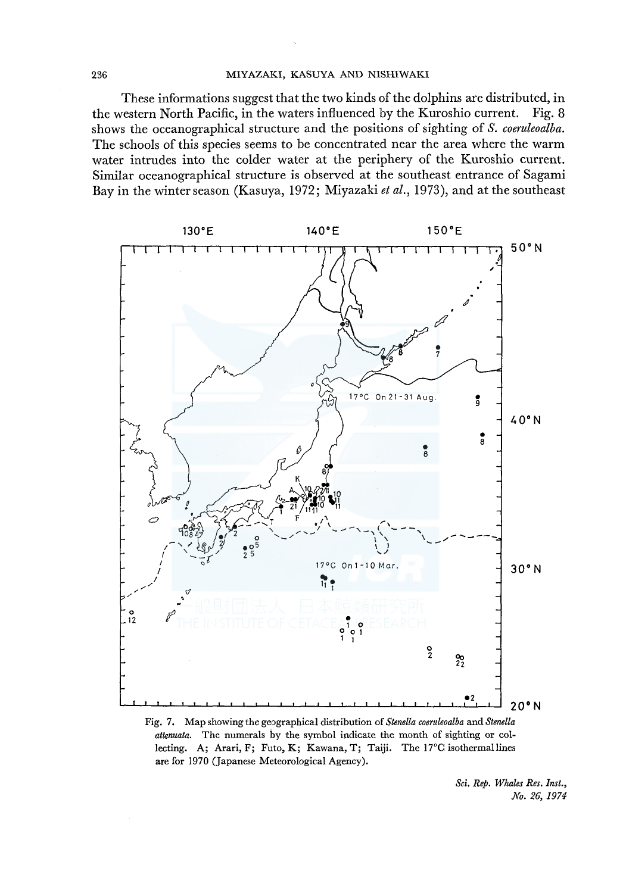#### 236 MIYAZAKI, KASUYA AND NISHIWAKI

These informations suggest that the two kinds of the dolphins are distributed, in the western North Pacific, in the waters influenced by the Kuroshio current. Fig. 8 shows the oceanographical structure and the positions of sighting of *S. coeruleoalba.*  The schools of this species seems to be concentrated near the area where the warm water intrudes into the colder water at the periphery of the Kuroshio current. Similar oceanographical structure is observed at the southeast entrance of Sagami Bay in the winter season (Kasuya, 1972; Miyazaki *et al.,* 1973 ), and at the southeast



Fig. 7. Map showing the geographical distribution of *Stenella coeruleoalba* and *Stenella attenuata.* The numerals by the symbol indicate the month of sighting or collecting. A; Arari, F; Futo, K; Kawana, T; Taiji. The l7°C isothermallines are for 1970 (Japanese Meteorological Agency).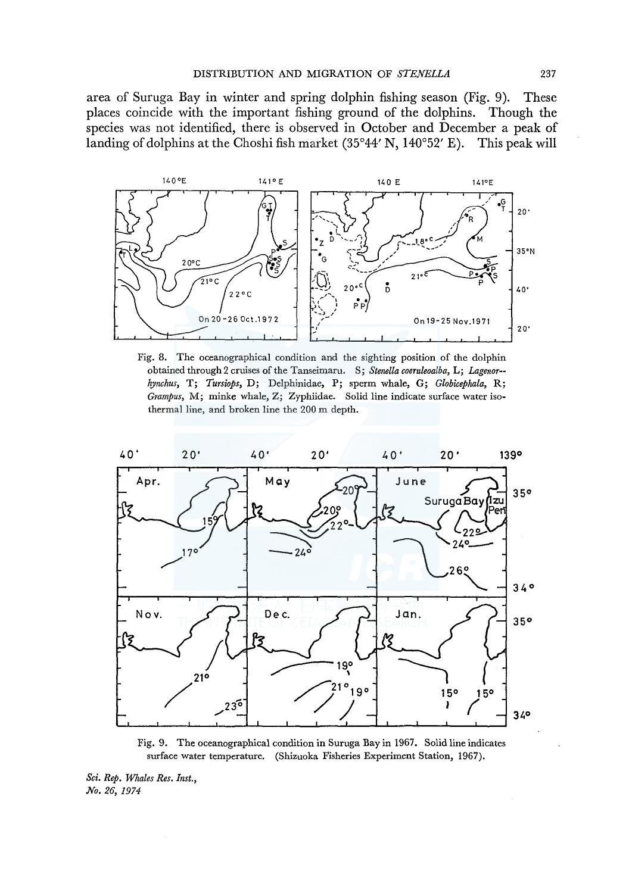area of Suruga Bay in winter and spring dolphin fishing season (Fig. 9). These places coincide with the important fishing ground of the dolphins. Though the species was not identified, there is observed in October and December a peak of landing of dolphins at the Choshi fish market  $(35°44' N, 140°52' E)$ . This peak will



Fig. 8. The oceanographical condition and the sighting position of the dolphin obtained through 2 cruises of the Tanseimaru. S; *Stenella coeruleoalba,* L; *Lagenor- hynchus,* T; *Tursiops,* D; Delphinidae, P; sperm whale, G; *Globicephala,* R; *Grampus,* M; minke whale, Z; Zyphiidae. Solid line indicate surface water isothermal line, and broken line the 200 m depth.



Fig. 9. The oceanographical condition in Suruga Bay in 1967. Solid line indicates surface water temperature. (Shizuoka Fisheries Experiment Station, 1967).

*Sci. Rep. Whales Res. Inst., No. 26, 1974*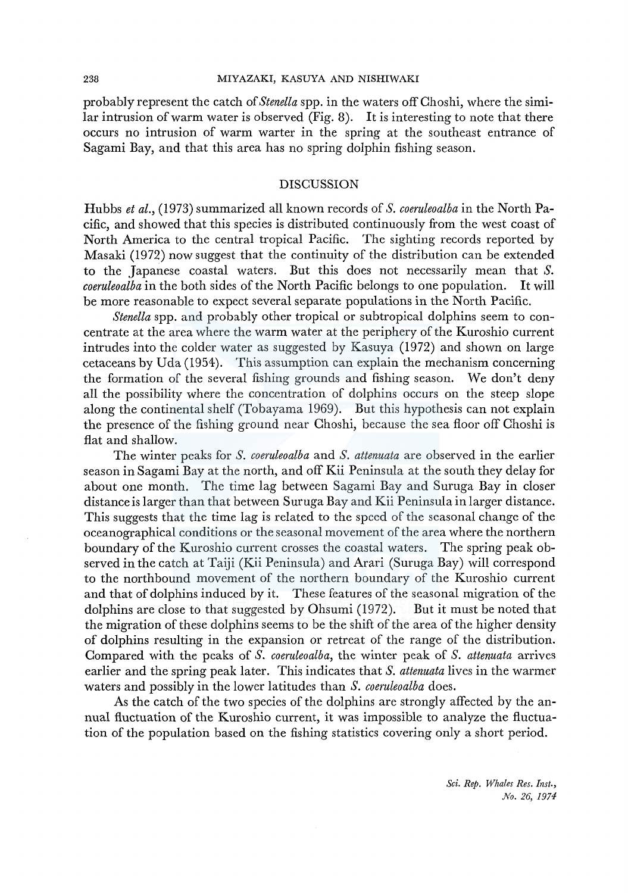#### 238 MIYAZAKI, KASUYA AND NISHIWAKI

probably represent the catch of *Stenella* spp. in the waters off Choshi, where the similar intrusion of warm water is observed (Fig. 8). It is interesting to note that there occurs no intrusion of warm warter in the spring at the southeast entrance of Sagami Bay, and that this area has no spring dolphin fishing season.

#### DISCUSSION

Hubbs *et al.,* (1973) summarized all known records of *S. coeruleoalba* in the North Pacific, and showed that this species is distributed continuously from the west coast of North America to the central tropical Pacific. The sighting records reported by Masaki (1972) now suggest that the continuity of the distribution can be extended to the Japanese coastal waters. But this does not necessarily mean that *S. coeruleoalba* in the both sides of the North Pacific belongs to one population. It will be more reasonable to expect several separate populations in the North Pacific.

*Stenella* spp. and probably other tropical or subtropical dolphins seem to concentrate at the area where the warm water at the periphery of the Kuroshio current intrudes into the colder water as suggested by Kasuya (1972) and shown on large cetaceans by Uda (1954). This assumption can explain the mechanism concerning the formation of the several fishing grounds and fishing season. We don't deny all the possibility where the concentration of dolphins occurs on the steep slope along the continental shelf (Tobayama 1969). But this hypothesis can not explain the presence of the fishing ground near Choshi, because the sea floor off Choshi is flat and shallow.

The winter peaks for *S. coeruleoalba* and *S. attenuata* are observed in the earlier season in Sagami Bay at the north, and off Kii Peninsula at the south they delay for about one month. The time lag between Sagami Bay and Suruga Bay in closer distance is larger than that between Suruga Bay and Kii Peninsula in larger distance. This suggests that the time lag is related to the speed of the seasonal change of the oceanographical conditions or the seasonal movement of the area where the northern boundary of the Kuroshio current crosses the coastal waters. The spring peak observed in the catch at Taiji (Kii Peninsula) and Arari (Suruga Bay) will correspond to the northbound movement of the northern boundary of the Kuroshio current and that of dolphins induced by it. These features of the seasonal migration of the dolphins are close to that suggested by Ohsumi (1972). But it must be noted that the migration of these dolphins seems to be the shift of the area of the higher density of dolphins resulting in the expansion or retreat of the range of the distribution. Compared with the peaks of *S. coeruleoalba,* the winter peak of *S. attenuata* arrives earlier and the spring peak later. This indicates that *S. attenuata* lives in the warmer waters and possibly in the lower latitudes than *S. coeruleoalba* does.

As the catch of the two species of the dolphins are strongly affected by the annual fluctuation of the Kuroshio current, it was impossible to analyze the fluctuation of the population based on the fishing statistics covering only a short period.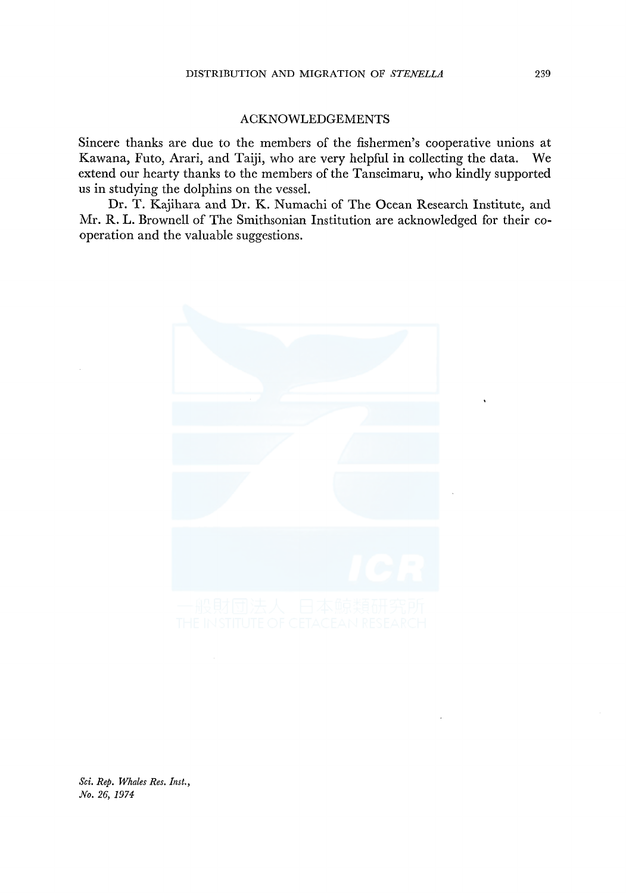## ACKNOWLEDGEMENTS

Sincere thanks are due to the members of the fishermen's cooperative unions at Kawana, Futo, Arari, and Taiji, who are very helpful in collecting the data. We extend our hearty thanks to the members of the Tanseimaru, who kindly supported us in studying the dolphins on the vessel.

Dr. T. Kajihara and Dr. K. Numachi of The Ocean Research Institute, and Mr. R. L. Brownell of The Smithsonian Institution are acknowledged for their cooperation and the valuable suggestions.

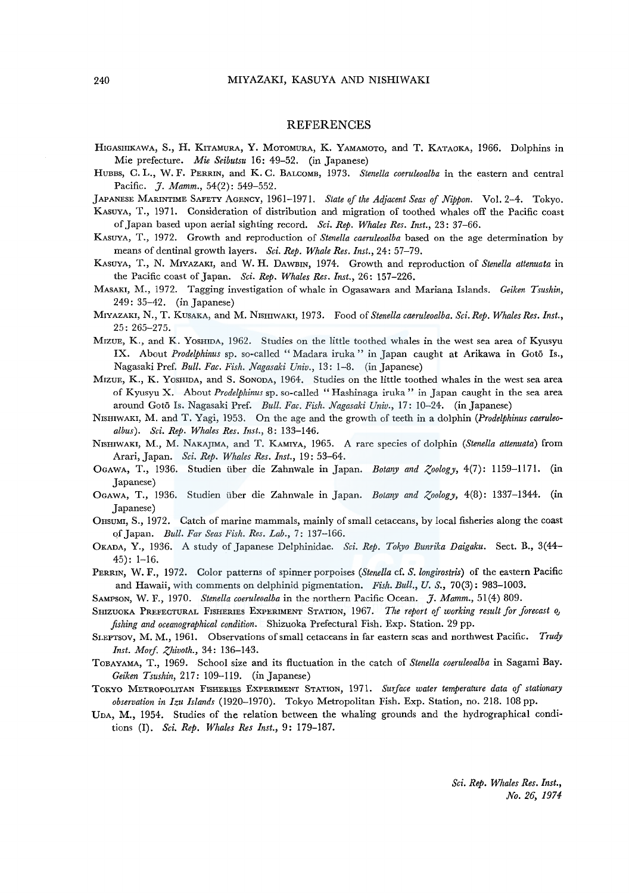#### REFERENCES

HIGASHIKAWA, S., H. KITAMURA, Y. MOTOMURA, K. YAMAMOTO, and T. KATAOKA, 1966. Dolphins in Mie prefecture. *Mu Seibutsu* 16: 49-52. (in Japanese)

HUBBS, C. L., W. F. PERRIN, and K. C. BALCOMB, 1973. *Stenella coeruleoalba* in the eastern and central Pacific. 7. *Mamm.*, 54(2): 549-552.

JAPANESE MARINTIME SAFETY AGENCY, 1961-1971. *State of the Adjacent Seas of Nippon.* Vol. 2-4. Tokyo.

KASUYA, T., 1971. Consideration of distribution and migration of toothed whales off the Pacific coast of Japan based upon aerial sighting record. *Sci. Rep. Whales Res. Inst.,* 23: 37-66.

KASUYA, T., 1972. Growth and reproduction of *Stenella caeruleoalba* based on the age determination by means of dentinal growth layers. *Sci. Rep. Whale Res. Inst.,* 24: 57-79.

KAsUYA, T., N. MIYAZAKI, and W. H. DAWBIN, 1974. Growth and reproduction of *Stenella attenuata* in the Pacific coast of Japan. *Sei. Rep. Whales Res. Inst.,* 26: 157-226.

- MASAKI, M., 1972. Tagging investigation of whale in Ogasawara and Mariana Islands. *Geiken Tsushin,*  249: 35-42. (in Japanese)
- MIYAZAKI, N., T. KusAKA, and M. NISHIWAKI, 1973. Food of *Stenella caeruleoalba. Sci. Rep. Whales Res. Inst.,*  25: 265-275.
- MIZUE, K., and K. YosHmA, 1962. Studies on the little toothed whales in the west sea area of Kyusyu IX. About *Prodelphinus* sp. so-called "Madara iruka" in Japan caught at Arikawa in Goto Is., Nagasaki Pref. *Bull. Fae. Fish. Nagasaki Univ.,* 13: 1-8. (in Japanese)
- MIZUE, K., K. YosHIDA, and S. SONODA, 1964. Studies on the little toothed whales in the west sea area of Kyusyu X. About *Prodelphinus* sp. so-called "Hashinaga iruka" in Japan caught in the sea area around Goto Is. Nagasaki Pref. *Bull. Fae. Fish. Nagasaki Univ.,* 17: 10-24. (in Japanese)
- NisHIWAKI, M. and T. Yagi, 1953. On the age and the growth of teeth in a dolphin *(Prodelphinus caeruleoalbus). Sci. Rep. Whales Res. Inst.,* 8: 133-146.
- NISHIWAKI, M., M. NAKAJIMA, and T. KAMIYA, 1965. A rare species of dolphin *(Stenella attenuata)* from Arari, Japan. *Sci. Rep. Whales Res. Inst.,* 19: 53-64.
- OGAWA, T., 1936. Studien iiber die Zahnwale in Japan. *Botany and Zoology,* 4(7): 1159-1171. (in Japanese)
- OGAWA, T., 1936. Studien iiber die Zahnwale in Japan. *Botany and Zoology,* 4(8): 1337-1344. (in Japanese)
- 0HSUMI, S., 1972. Catch of marine mammals, mainly of small cetaceans, by local fisheries along the coast of Japan. *Bull. Far Seas Fish. Res. Lab.,* 7: 137-166.
- OKADA, Y., 1936. A study of Japanese Delphinidae. *Sci. Rep. Tokyo Bunrika Daigaku.* Sect. B., 3(44-  $45$ : 1-16.
- PERRIN, W. F., 1972. Color patterns of spinner porpoises *(Stenella cf. S. longirostris)* of the eastern Pacific and Hawaii, with comments on delphinid pigmentation. *Fish. Bull., U.S.,* 70(3): 983-1003.
- SAMPSON, W. F., 1970. *Stenella eoeruleoalba* in the northern Pacific Ocean. J. *Mamm.,* 51(4) 809.
- SHIZUOKA PREFECTURAL FISHERIES EXPERIMENT STATION, 1967. *The report of working result for forecast OJ fishing and oeeanographieal condition.* Shizuoka Prefectural Fish. Exp. Station. 29 pp.
- SLEPTSOV, M. M., 1961. Observations of small cetaceans in far eastern seas and northwest Pacific. *Trudy Inst. Morf. Zhivoth.,* 34: 136-143.
- ToBAYAMA, T., 1969. School size and its fluctuation in the catch of *Stenella eoeruleoalba* in Sagami Bay. *Geiken Tsushin,* 217: 109-119. (in Japanese)
- TOKYO METROPOLITAN FISHERIES EXPERIMENT STATION, 1971. *Surface water temperature data of stationary observation in Izu Islands* (1920-1970). Tokyo Metropolitan Fish. Exp. Station, no. 218. 108 pp.
- UDA, M., 1954. Studies of the relation between the whaling grounds and the hydrographical conditions (I). *Sci. Rep. Whales Res Inst.,* 9: 179-187.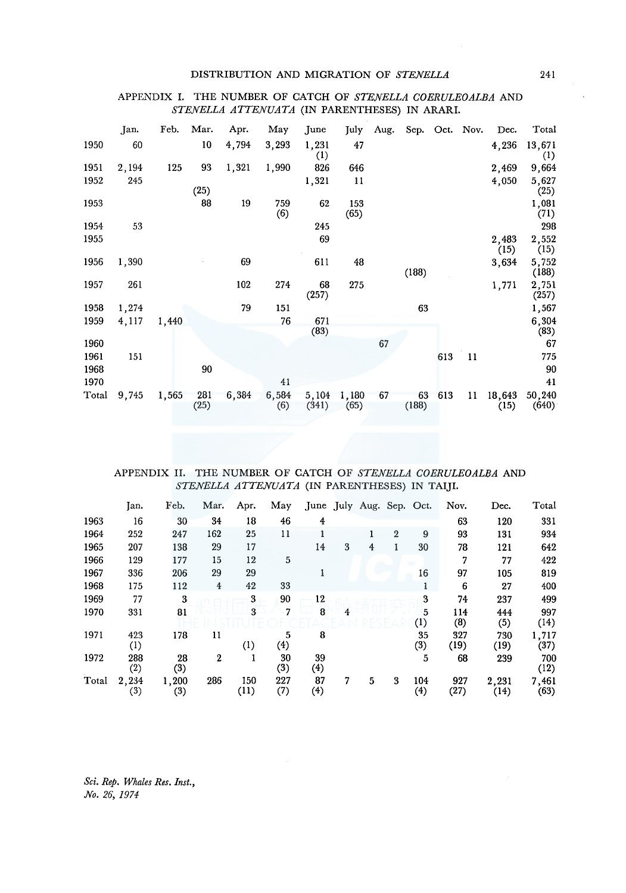#### DISTRIBUTION AND MIGRATION OF *STENELLA*

## APPENDIX I. THE NUMBER OF CATCH OF *STENELLA COERULEOALBA* AND *STENELLA ATTENUATA* (IN PARENTHESES) IN ARARI.

|       | Jan.  | Feb.  | Mar.        | Apr.  | May          | June           | July          | Aug. |             |     | Sep. Oct. Nov. | Dec.           | Total                      |
|-------|-------|-------|-------------|-------|--------------|----------------|---------------|------|-------------|-----|----------------|----------------|----------------------------|
| 1950  | 60    |       | 10          | 4,794 | 3,293        | 1,231<br>(1)   | 47            |      |             |     |                | 4,236          | 13,671<br>$\left(1\right)$ |
| 1951  | 2,194 | 125   | 93          | 1,321 | 1,990        | 826            | 646           |      |             |     |                | 2,469          | 9,664                      |
| 1952  | 245   |       | (25)        |       |              | 1,321          | 11            |      |             |     |                | 4,050          | 5,627<br>(25)              |
| 1953  |       |       | 88          | 19    | 759<br>(6)   | 62             | 153<br>(65)   |      |             |     |                |                | 1,081<br>(71)              |
| 1954  | 53    |       |             |       |              | 245            |               |      |             |     |                |                | 298                        |
| 1955  |       |       |             |       |              | 69             |               |      |             |     |                | 2,483<br>(15)  | 2,552<br>(15)              |
| 1956  | 1,390 |       |             | 69    |              | 611            | 48            |      | (188)       |     |                | 3,634          | 5,752<br>(188)             |
| 1957  | 261   |       |             | 102   | 274          | 68<br>(257)    | 275           |      |             |     |                | 1,771          | 2,751<br>(257)             |
| 1958  | 1,274 |       |             | 79    | 151          |                |               |      | 63          |     |                |                | 1,567                      |
| 1959  | 4,117 | 1,440 |             |       | 76           | 671<br>(83)    |               |      |             |     |                |                | 6,304<br>(83)              |
| 1960  |       |       |             |       |              |                |               | 67   |             |     |                |                | 67                         |
| 1961  | 151   |       |             |       |              |                |               |      |             | 613 | 11             |                | 775                        |
| 1968  |       |       | 90          |       |              |                |               |      |             |     |                |                | 90                         |
| 1970  |       |       |             |       | 41           |                |               |      |             |     |                |                | 41                         |
| Total | 9,745 | 1,565 | 281<br>(25) | 6,384 | 6,584<br>(6) | 5,104<br>(341) | 1,180<br>(65) | 67   | 63<br>(188) | 613 | $\mathbf{11}$  | 18,643<br>(15) | 50,240<br>(640)            |

## APPENDIX II. THE NUMBER OF CATCH OF *STENELLA COERULEOALBA* AND *STENELLA ATTENUATA* (IN PARENTHESES) IN TAIJI.

|       | Jan.         | Feb.         | Mar.                    | Apr.             | May        |                        |   | June July Aug. Sep. Oct. |                |                         | Nov.        | Dec.          | Total         |
|-------|--------------|--------------|-------------------------|------------------|------------|------------------------|---|--------------------------|----------------|-------------------------|-------------|---------------|---------------|
| 1963  | 16           | 30           | 34                      | 18               | 46         | 4                      |   |                          |                |                         | 63          | 120           | 331           |
| 1964  | 252          | 247          | 162                     | 25               | 11         |                        |   |                          | $\overline{2}$ | 9                       | 93          | 131           | 934           |
| 1965  | 207          | 138          | 29                      | 17               |            | 14                     | 3 | $\overline{4}$           |                | 30                      | 78          | 121           | 642           |
| 1966  | 129          | 177          | 15                      | 12               | 5          |                        |   |                          |                |                         | 7           | 77            | 422           |
| 1967  | 336          | 206          | 29                      | 29               |            |                        |   |                          |                | 16                      | 97          | 105           | 819           |
| 1968  | 175          | 112          | $\overline{\mathbf{r}}$ | 42               | 33         |                        |   |                          |                |                         | 6           | 27            | 400           |
| 1969  | 77           | 3            |                         | 3                | 90         | 12                     |   |                          |                | 3                       | 74          | 237           | 499           |
| 1970  | 331          | 81           |                         | 3                | 7          | 8                      | 4 |                          |                | 5<br>$\left(1\right)$   | 114<br>(8)  | 444<br>(5)    | 997<br>(14)   |
| 1971  | 423<br>(1)   | 178          | 11                      | $\left(1\right)$ | 5<br>(4)   | 8                      |   |                          |                | 35<br>(3)               | 327<br>(19) | 730<br>(19)   | 1,717<br>(37) |
| 1972  | 288<br>(2)   | 28<br>(3)    | $\boldsymbol{2}$        |                  | 30<br>(3)  | 39<br>$\left(4\right)$ |   |                          |                | 5                       | 68          | 239           | 700<br>(12)   |
| Total | 2,234<br>(3) | 1,200<br>(3) | 286                     | 150<br>(11)      | 227<br>(7) | 87<br>(4)              | 7 | 5                        | 3              | 104<br>$\left(4\right)$ | 927<br>(27) | 2,231<br>(14) | 7,461<br>(63) |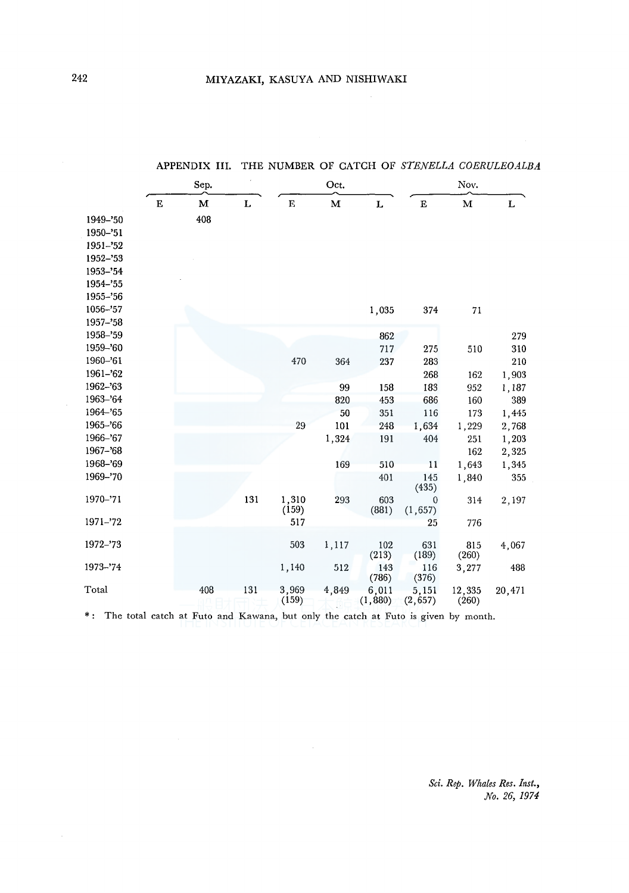|             |   | APPENDIX III. |     |                    |       |                   | THE NUMBER OF CATCH OF STENELLA COERULEOALBA |                 |        |  |  |
|-------------|---|---------------|-----|--------------------|-------|-------------------|----------------------------------------------|-----------------|--------|--|--|
|             |   | Sep.          |     |                    | Oct.  |                   | Nov.                                         |                 |        |  |  |
|             | Е | M             | L   | $\mathbf{E}% _{t}$ | М     | L                 | $\mathbf E$                                  | M               | г      |  |  |
| 1949-'50    |   | 408           |     |                    |       |                   |                                              |                 |        |  |  |
| 1950-'51    |   |               |     |                    |       |                   |                                              |                 |        |  |  |
| 1951-'52    |   |               |     |                    |       |                   |                                              |                 |        |  |  |
| 1952-'53    |   |               |     |                    |       |                   |                                              |                 |        |  |  |
| 1953-'54    |   |               |     |                    |       |                   |                                              |                 |        |  |  |
| 1954-'55    |   |               |     |                    |       |                   |                                              |                 |        |  |  |
| 1955-'56    |   |               |     |                    |       |                   |                                              |                 |        |  |  |
| 1056-'57    |   |               |     |                    |       | 1,035             | 374                                          | 71              |        |  |  |
| 1957-'58    |   |               |     |                    |       |                   |                                              |                 |        |  |  |
| 1958-'59    |   |               |     |                    |       | 862               |                                              |                 | 279    |  |  |
| 1959-'60    |   |               |     |                    |       | 717               | 275                                          | 510             | 310    |  |  |
| 1960-'61    |   |               |     | 470                | 364   | 237               | 283                                          |                 | 210    |  |  |
| 1961-'62    |   |               |     |                    |       |                   | 268                                          | 162             | 1,903  |  |  |
| $1962 - 63$ |   |               |     |                    | 99    | 158               | 183                                          | 952             | 1,187  |  |  |
| 1963-'64    |   |               |     |                    | 820   | 453               | 686                                          | 160             | 389    |  |  |
| 1964-'65    |   |               |     |                    | 50    | 351               | 116                                          | 173             | 1,445  |  |  |
| 1965-'66    |   |               |     | 29                 | 101   | 248               | 1,634                                        | 1,229           | 2,768  |  |  |
| 1966-'67    |   |               |     |                    | 1,324 | 191               | 404                                          | 251             | 1,203  |  |  |
| 1967-'68    |   |               |     |                    |       |                   |                                              | 162             | 2,325  |  |  |
| 1968-'69    |   |               |     |                    | 169   | 510               | 11                                           | 1,643           | 1,345  |  |  |
| 1969-'70    |   |               |     |                    |       | 401               | 145<br>(435)                                 | 1,840           | 355    |  |  |
| 1970-'71    |   |               | 131 | 1,310<br>(159)     | 293   | 603<br>(881)      | $\mathbf{0}$<br>(1, 657)                     | 314             | 2,197  |  |  |
| 1971-'72    |   |               |     | 517                |       |                   | 25                                           | 776             |        |  |  |
| 1972-'73    |   |               |     | 503                | 1,117 | 102<br>(213)      | 631<br>(189)                                 | 815<br>(260)    | 4,067  |  |  |
| 1973-'74    |   |               |     | 1,140              | 512   | 143<br>(786)      | 116<br>(376)                                 | 3,277           | 488    |  |  |
| Total       |   | 408           | 131 | 3,969<br>(159)     | 4,849 | 6,011<br>(1, 880) | 5,151<br>(2, 657)                            | 12,335<br>(260) | 20,471 |  |  |

\*: The total catch at Futo and Kawana, but only the catch at Futo is given by month.